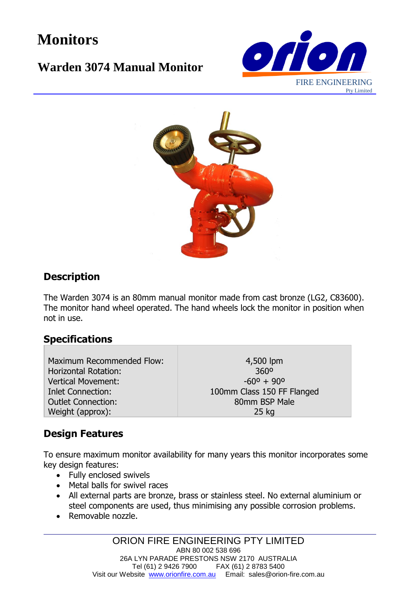# **Monitors**

## **Warden 3074 Manual Monitor**





### **Description**

The Warden 3074 is an 80mm manual monitor made from cast bronze (LG2, C83600). The monitor hand wheel operated. The hand wheels lock the monitor in position when not in use.

#### **Specifications**

Maximum Recommended Flow: Horizontal Rotation: Vertical Movement: Inlet Connection: Outlet Connection: Weight (approx):

4,500 lpm 360º  $-60^{\circ} + 90^{\circ}$ 100mm Class 150 FF Flanged 80mm BSP Male 25 kg

## **Design Features**

To ensure maximum monitor availability for many years this monitor incorporates some key design features:

- Fully enclosed swivels
- Metal balls for swivel races
- All external parts are bronze, brass or stainless steel. No external aluminium or steel components are used, thus minimising any possible corrosion problems.
- Removable nozzle.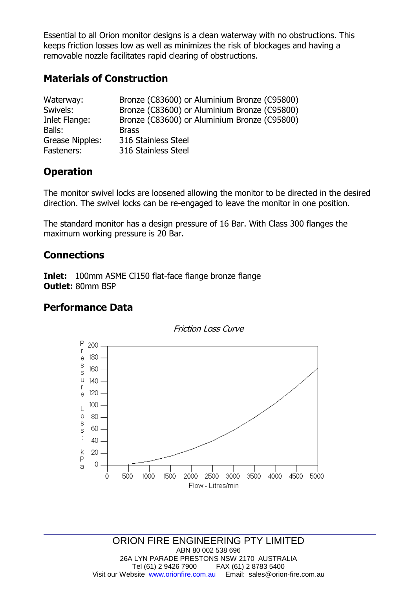Essential to all Orion monitor designs is a clean waterway with no obstructions. This keeps friction losses low as well as minimizes the risk of blockages and having a removable nozzle facilitates rapid clearing of obstructions.

#### **Materials of Construction**

| Waterway:       | Bronze (C83600) or Aluminium Bronze (C95800) |
|-----------------|----------------------------------------------|
| Swivels:        | Bronze (C83600) or Aluminium Bronze (C95800) |
| Inlet Flange:   | Bronze (C83600) or Aluminium Bronze (C95800) |
| Balls:          | <b>Brass</b>                                 |
| Grease Nipples: | 316 Stainless Steel                          |
| Fasteners:      | 316 Stainless Steel                          |

## **Operation**

The monitor swivel locks are loosened allowing the monitor to be directed in the desired direction. The swivel locks can be re-engaged to leave the monitor in one position.

The standard monitor has a design pressure of 16 Bar. With Class 300 flanges the maximum working pressure is 20 Bar.

#### **Connections**

**Inlet:** 100mm ASME Cl150 flat-face flange bronze flange **Outlet:** 80mm BSP

#### **Performance Data**

#### Friction Loss Curve